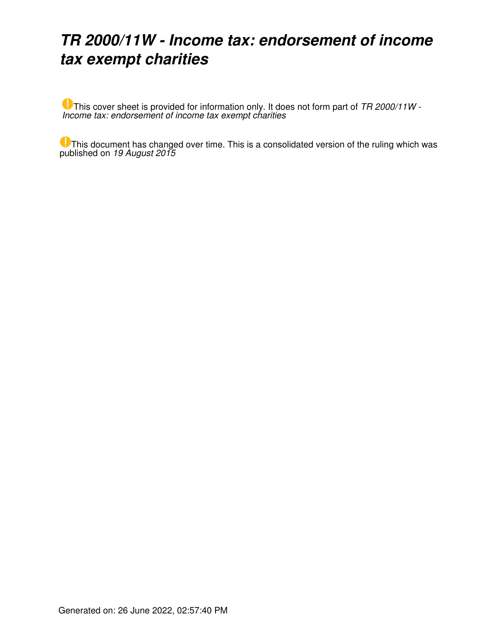# *TR 2000/11W - Income tax: endorsement of income tax exempt charities*

This cover sheet is provided for information only. It does not form part of *TR 2000/11W - Income tax: endorsement of income tax exempt charities*

This document has changed over time. This is a consolidated version of the ruling which was published on *19 August 2015*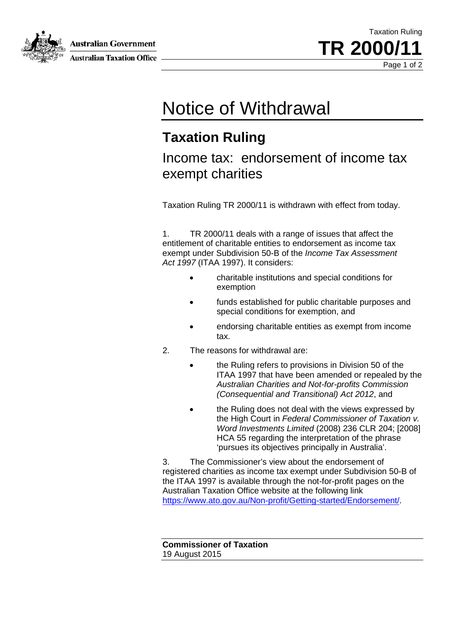**Australian Government** 



**Australian Taxation Office** 

Taxation Ruling TR 2000/ Page 1 of 2

# Notice of Withdrawal

### **Taxation Ruling**

### Income tax: endorsement of income tax exempt charities

Taxation Ruling TR 2000/11 is withdrawn with effect from today.

1. TR 2000/11 deals with a range of issues that affect the entitlement of charitable entities to endorsement as income tax exempt under Subdivision 50-B of the *Income Tax Assessment Act 1997* (ITAA 1997). It considers:

- charitable institutions and special conditions for exemption
- funds established for public charitable purposes and special conditions for exemption, and
- endorsing charitable entities as exempt from income tax.
- 2. The reasons for withdrawal are:
	- the Ruling refers to provisions in Division 50 of the ITAA 1997 that have been amended or repealed by the *Australian Charities and Not-for-profits Commission (Consequential and Transitional) Act 2012*, and
	- the Ruling does not deal with the views expressed by the High Court in *Federal Commissioner of Taxation v. Word Investments Limited* (2008) 236 CLR 204; [2008] HCA 55 regarding the interpretation of the phrase 'pursues its objectives principally in Australia'.

3. The Commissioner's view about the endorsement of registered charities as income tax exempt under Subdivision 50-B of the ITAA 1997 is available through the not-for-profit pages on the Australian Taxation Office website at the following link https://www.ato.gov.au/Non-profit/Getting-started/Endorsement/.

**Commissioner of Taxation** 19 August 2015